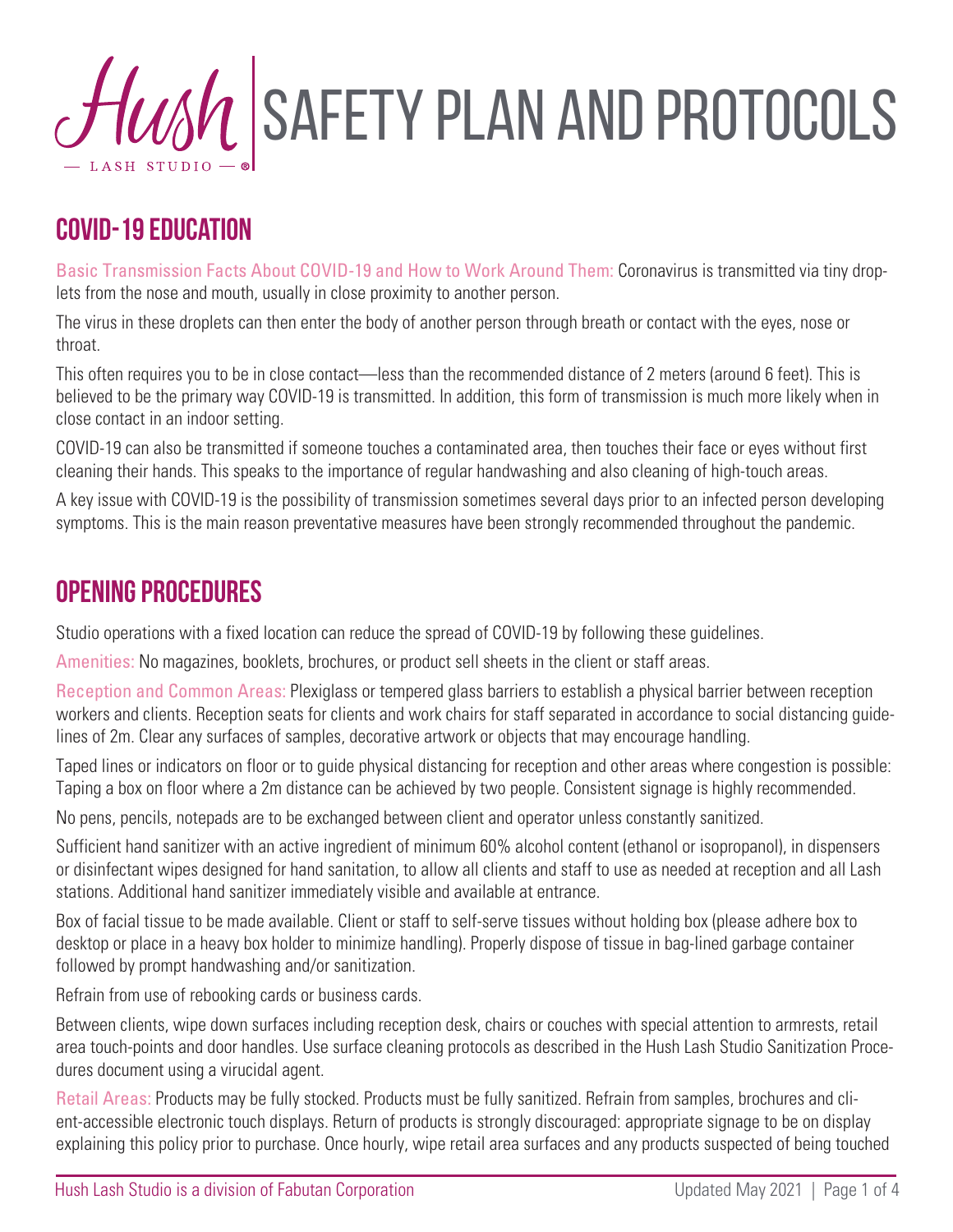# $\mathcal{H}$  SAFETY PLAN AND PROTOCOLS

## **COVID-19 Education**

Basic Transmission Facts About COVID-19 and How to Work Around Them: Coronavirus is transmitted via tiny droplets from the nose and mouth, usually in close proximity to another person.

The virus in these droplets can then enter the body of another person through breath or contact with the eyes, nose or throat.

This often requires you to be in close contact—less than the recommended distance of 2 meters (around 6 feet). This is believed to be the primary way COVID-19 is transmitted. In addition, this form of transmission is much more likely when in close contact in an indoor setting.

COVID-19 can also be transmitted if someone touches a contaminated area, then touches their face or eyes without first cleaning their hands. This speaks to the importance of regular handwashing and also cleaning of high-touch areas.

A key issue with COVID-19 is the possibility of transmission sometimes several days prior to an infected person developing symptoms. This is the main reason preventative measures have been strongly recommended throughout the pandemic.

#### **Opening Procedures**

Studio operations with a fixed location can reduce the spread of COVID-19 by following these guidelines.

Amenities: No magazines, booklets, brochures, or product sell sheets in the client or staff areas.

Reception and Common Areas: Plexiglass or tempered glass barriers to establish a physical barrier between reception workers and clients. Reception seats for clients and work chairs for staff separated in accordance to social distancing guidelines of 2m. Clear any surfaces of samples, decorative artwork or objects that may encourage handling.

Taped lines or indicators on floor or to guide physical distancing for reception and other areas where congestion is possible: Taping a box on floor where a 2m distance can be achieved by two people. Consistent signage is highly recommended.

No pens, pencils, notepads are to be exchanged between client and operator unless constantly sanitized.

Sufficient hand sanitizer with an active ingredient of minimum 60% alcohol content (ethanol or isopropanol), in dispensers or disinfectant wipes designed for hand sanitation, to allow all clients and staff to use as needed at reception and all Lash stations. Additional hand sanitizer immediately visible and available at entrance.

Box of facial tissue to be made available. Client or staff to self-serve tissues without holding box (please adhere box to desktop or place in a heavy box holder to minimize handling). Properly dispose of tissue in bag-lined garbage container followed by prompt handwashing and/or sanitization.

Refrain from use of rebooking cards or business cards.

Between clients, wipe down surfaces including reception desk, chairs or couches with special attention to armrests, retail area touch-points and door handles. Use surface cleaning protocols as described in the Hush Lash Studio Sanitization Procedures document using a virucidal agent.

Retail Areas: Products may be fully stocked. Products must be fully sanitized. Refrain from samples, brochures and client-accessible electronic touch displays. Return of products is strongly discouraged: appropriate signage to be on display explaining this policy prior to purchase. Once hourly, wipe retail area surfaces and any products suspected of being touched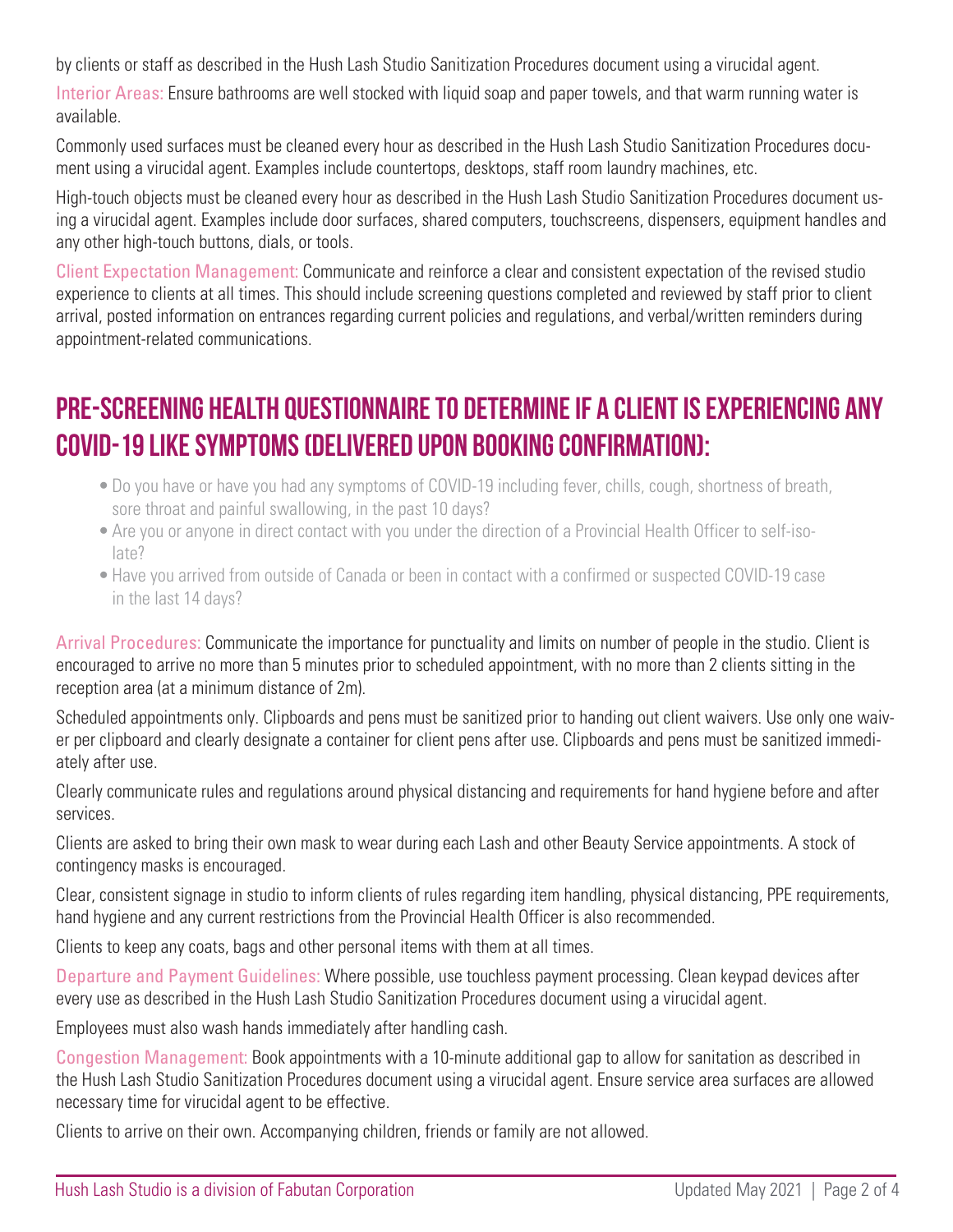by clients or staff as described in the Hush Lash Studio Sanitization Procedures document using a virucidal agent.

Interior Areas: Ensure bathrooms are well stocked with liquid soap and paper towels, and that warm running water is available.

Commonly used surfaces must be cleaned every hour as described in the Hush Lash Studio Sanitization Procedures document using a virucidal agent. Examples include countertops, desktops, staff room laundry machines, etc.

High-touch objects must be cleaned every hour as described in the Hush Lash Studio Sanitization Procedures document using a virucidal agent. Examples include door surfaces, shared computers, touchscreens, dispensers, equipment handles and any other high-touch buttons, dials, or tools.

Client Expectation Management: Communicate and reinforce a clear and consistent expectation of the revised studio experience to clients at all times. This should include screening questions completed and reviewed by staff prior to client arrival, posted information on entrances regarding current policies and regulations, and verbal/written reminders during appointment-related communications.

## **Pre-screening HEALTH QUESTIONNAIRE TO DETERMINE IF A CLIENT IS EXPERIENCING ANY COVID-19 LIKE SYMPTOMS (delivered upon booking confirmation):**

- •Do you have or have you had any symptoms of COVID-19 including fever, chills, cough, shortness of breath, sore throat and painful swallowing, in the past 10 days?
- •Are you or anyone in direct contact with you under the direction of a Provincial Health Officer to self-isolate?
- •Have you arrived from outside of Canada or been in contact with a confirmed or suspected COVID-19 case in the last 14 days?

Arrival Procedures: Communicate the importance for punctuality and limits on number of people in the studio. Client is encouraged to arrive no more than 5 minutes prior to scheduled appointment, with no more than 2 clients sitting in the reception area (at a minimum distance of 2m).

Scheduled appointments only. Clipboards and pens must be sanitized prior to handing out client waivers. Use only one waiver per clipboard and clearly designate a container for client pens after use. Clipboards and pens must be sanitized immediately after use.

Clearly communicate rules and regulations around physical distancing and requirements for hand hygiene before and after services.

Clients are asked to bring their own mask to wear during each Lash and other Beauty Service appointments. A stock of contingency masks is encouraged.

Clear, consistent signage in studio to inform clients of rules regarding item handling, physical distancing, PPE requirements, hand hygiene and any current restrictions from the Provincial Health Officer is also recommended.

Clients to keep any coats, bags and other personal items with them at all times.

Departure and Payment Guidelines: Where possible, use touchless payment processing. Clean keypad devices after every use as described in the Hush Lash Studio Sanitization Procedures document using a virucidal agent.

Employees must also wash hands immediately after handling cash.

Congestion Management: Book appointments with a 10-minute additional gap to allow for sanitation as described in the Hush Lash Studio Sanitization Procedures document using a virucidal agent. Ensure service area surfaces are allowed necessary time for virucidal agent to be effective.

Clients to arrive on their own. Accompanying children, friends or family are not allowed.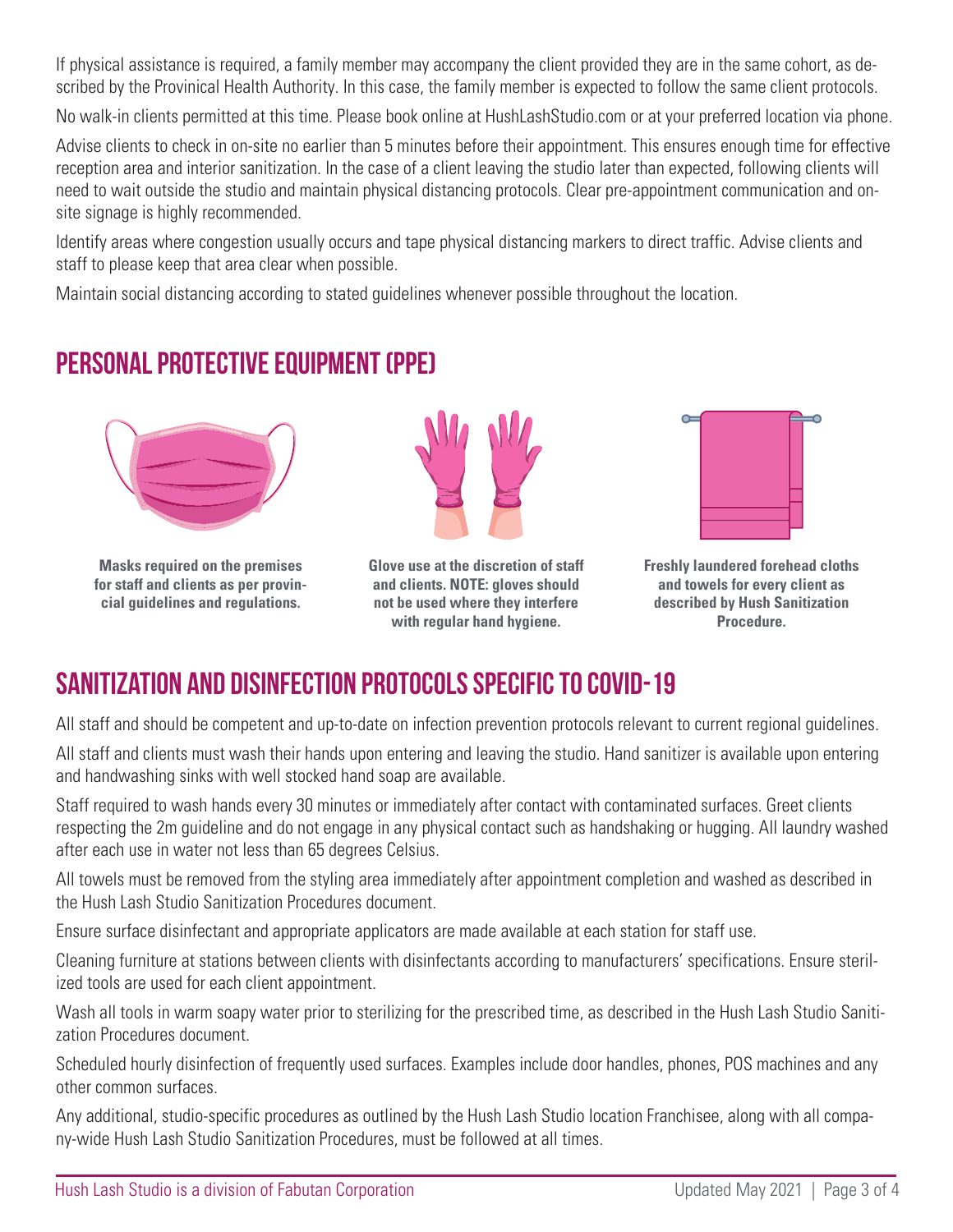If physical assistance is required, a family member may accompany the client provided they are in the same cohort, as described by the Provinical Health Authority. In this case, the family member is expected to follow the same client protocols.

No walk-in clients permitted at this time. Please book online at HushLashStudio.com or at your preferred location via phone.

Advise clients to check in on-site no earlier than 5 minutes before their appointment. This ensures enough time for effective reception area and interior sanitization. In the case of a client leaving the studio later than expected, following clients will need to wait outside the studio and maintain physical distancing protocols. Clear pre-appointment communication and onsite signage is highly recommended.

Identify areas where congestion usually occurs and tape physical distancing markers to direct traffic. Advise clients and staff to please keep that area clear when possible.

Maintain social distancing according to stated guidelines whenever possible throughout the location.

## **Personal Protective Equipment (PPE)**



**Masks required on the premises for staff and clients as per provincial guidelines and regulations.**



**Glove use at the discretion of staff and clients. NOTE: gloves should not be used where they interfere with regular hand hygiene.**



**Freshly laundered forehead cloths and towels for every client as described by Hush Sanitization Procedure.**

## **Sanitization and disinfection Protocols specific to COVID-19**

All staff and should be competent and up-to-date on infection prevention protocols relevant to current regional guidelines.

All staff and clients must wash their hands upon entering and leaving the studio. Hand sanitizer is available upon entering and handwashing sinks with well stocked hand soap are available.

Staff required to wash hands every 30 minutes or immediately after contact with contaminated surfaces. Greet clients respecting the 2m guideline and do not engage in any physical contact such as handshaking or hugging. All laundry washed after each use in water not less than 65 degrees Celsius.

All towels must be removed from the styling area immediately after appointment completion and washed as described in the Hush Lash Studio Sanitization Procedures document.

Ensure surface disinfectant and appropriate applicators are made available at each station for staff use.

Cleaning furniture at stations between clients with disinfectants according to manufacturers' specifications. Ensure sterilized tools are used for each client appointment.

Wash all tools in warm soapy water prior to sterilizing for the prescribed time, as described in the Hush Lash Studio Sanitization Procedures document.

Scheduled hourly disinfection of frequently used surfaces. Examples include door handles, phones, POS machines and any other common surfaces.

Any additional, studio-specific procedures as outlined by the Hush Lash Studio location Franchisee, along with all company-wide Hush Lash Studio Sanitization Procedures, must be followed at all times.